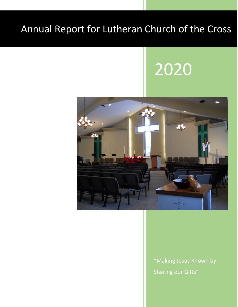# Annual Report for Lutheran Church of the Cross





"Making Jesus Known by Sharing our Gifts"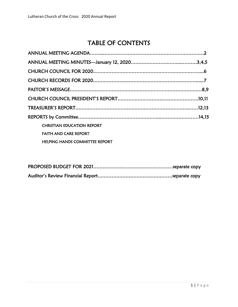# TABLE OF CONTENTS

| <b>CHRISTIAN EDUCATION REPORT</b>     |  |
|---------------------------------------|--|
| <b>FAITH AND CARE REPORT</b>          |  |
| <b>HELPING HANDS COMMITTEE REPORT</b> |  |
|                                       |  |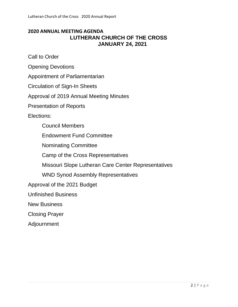## **2020 ANNUAL MEETING AGENDA LUTHERAN CHURCH OF THE CROSS JANUARY 24, 2021**

Call to Order

Opening Devotions

Appointment of Parliamentarian

Circulation of Sign-In Sheets

Approval of 2019 Annual Meeting Minutes

Presentation of Reports

Elections:

Council Members

Endowment Fund Committee

Nominating Committee

Camp of the Cross Representatives

Missouri Slope Lutheran Care Center Representatives

WND Synod Assembly Representatives

Approval of the 2021 Budget

Unfinished Business

New Business

Closing Prayer

Adjournment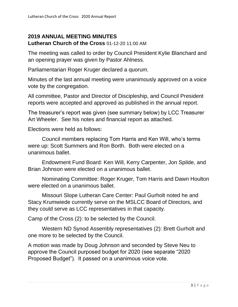# **2019 ANNUAL MEETING MINUTES**

## **Lutheran Church of the Cross** 01-12-20 11:00 AM

The meeting was called to order by Council President Kylie Blanchard and an opening prayer was given by Pastor Ahlness.

Parliamentarian Roger Kruger declared a quorum.

Minutes of the last annual meeting were unanimously approved on a voice vote by the congregation.

All committee, Pastor and Director of Discipleship, and Council President reports were accepted and approved as published in the annual report.

The treasurer's report was given (see summary below) by LCC Treasurer Art Wheeler. See his notes and financial report as attached.

Elections were held as follows:

Council members replacing Tom Harris and Ken Will, who's terms were up: Scott Summers and Ron Borth. Both were elected on a unanimous ballet.

Endowment Fund Board: Ken Will, Kerry Carpenter, Jon Spilde, and Brian Johnson were elected on a unanimous ballet.

Nominating Committee: Roger Kruger, Tom Harris and Dawn Houlton were elected on a unanimous ballet.

Missouri Slope Lutheran Care Center: Paul Gurholt noted he and Stacy Krumwiede currently serve on the MSLCC Board of Directors, and they could serve as LCC representatives in that capacity.

Camp of the Cross (2): to be selected by the Council.

Western ND Synod Assembly representatives (2): Brett Gurholt and one more to be selected by the Council.

A motion was made by Doug Johnson and seconded by Steve Neu to approve the Council purposed budget for 2020 (see separate "2020 Proposed Budget"). It passed on a unanimous voice vote.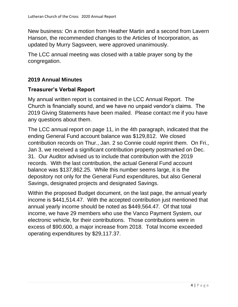New business: On a motion from Heather Martin and a second from Lavern Hanson, the recommended changes to the Articles of Incorporation, as updated by Murry Sagsveen, were approved unanimously.

The LCC annual meeting was closed with a table prayer song by the congregation.

## **2019 Annual Minutes**

#### **Treasurer's Verbal Report**

My annual written report is contained in the LCC Annual Report. The Church is financially sound, and we have no unpaid vendor's claims. The 2019 Giving Statements have been mailed. Please contact me if you have any questions about them.

The LCC annual report on page 11, in the 4th paragraph, indicated that the ending General Fund account balance was \$129,812. We closed contribution records on Thur., Jan. 2 so Connie could reprint them. On Fri., Jan 3, we received a significant contribution property postmarked on Dec. 31. Our Auditor advised us to include that contribution with the 2019 records. With the last contribution, the actual General Fund account balance was \$137,862.25. While this number seems large, it is the depository not only for the General Fund expenditures, but also General Savings, designated projects and designated Savings.

Within the proposed Budget document, on the last page, the annual yearly income is \$441,514.47. With the accepted contribution just mentioned that annual yearly income should be noted as \$449,564.47. Of that total income, we have 29 members who use the Vanco Payment System, our electronic vehicle, for their contributions. Those contributions were in excess of \$90,600, a major increase from 2018. Total Income exceeded operating expenditures by \$29,117.37.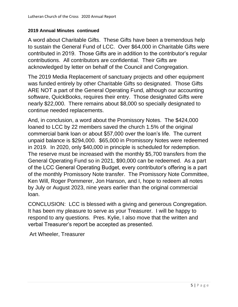#### **2019 Annual Minutes continued**

A word about Charitable Gifts. These Gifts have been a tremendous help to sustain the General Fund of LCC. Over \$64,000 in Charitable Gifts were contributed in 2019. Those Gifts are in addition to the contributor's regular contributions. All contributors are confidential. Their Gifts are acknowledged by letter on behalf of the Council and Congregation.

The 2019 Media Replacement of sanctuary projects and other equipment was funded entirely by other Charitable Gifts so designated. Those Gifts ARE NOT a part of the General Operating Fund, although our accounting software, QuickBooks, requires their entry. Those designated Gifts were nearly \$22,000. There remains about \$8,000 so specially designated to continue needed replacements.

And, in conclusion, a word about the Promissory Notes. The \$424,000 loaned to LCC by 22 members saved the church 1.5% of the original commercial bank loan or about \$57,000 over the loan's life. The current unpaid balance is \$294,000. \$65,000 in Promissory Notes were redeemed in 2019. In 2020, only \$40,000 in principle is scheduled for redemption. The reserve must be increased with the monthly \$5,700 transfers from the General Operating Fund so in 2021, \$90,000 can be redeemed. As a part of the LCC General Operating Budget, every contributor's offering is a part of the monthly Promissory Note transfer. The Promissory Note Committee, Ken Will, Roger Pommerer, Jon Hanson, and I, hope to redeem all notes by July or August 2023, nine years earlier than the original commercial loan.

CONCLUSION: LCC is blessed with a giving and generous Congregation. It has been my pleasure to serve as your Treasurer. I will be happy to respond to any questions. Pres. Kylie, I also move that the written and verbal Treasurer's report be accepted as presented.

Art Wheeler, Treasurer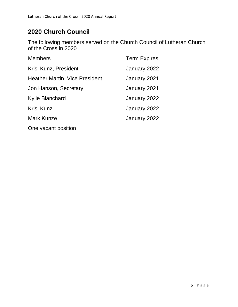# **2020 Church Council**

The following members served on the Church Council of Lutheran Church of the Cross in 2020

| <b>Members</b>                        | <b>Term Expires</b> |
|---------------------------------------|---------------------|
| Krisi Kunz, President                 | January 2022        |
| <b>Heather Martin, Vice President</b> | January 2021        |
| Jon Hanson, Secretary                 | January 2021        |
| <b>Kylie Blanchard</b>                | January 2022        |
| Krisi Kunz                            | January 2022        |
| <b>Mark Kunze</b>                     | January 2022        |
| One vacant position                   |                     |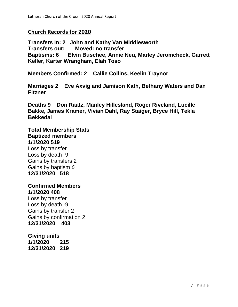## **Church Records for 2020**

**Transfers In: 2 John and Kathy Van Middlesworth Transfers out: Moved: no transfer Baptisms: 6 Elvin Buschee, Annie Neu, Marley Jeromcheck, Garrett Keller, Karter Wrangham, Elah Toso**

**Members Confirmed: 2 Callie Collins, Keelin Traynor**

**Marriages 2 Eve Axvig and Jamison Kath, Bethany Waters and Dan Fitzner**

**Deaths 9 Don Raatz, Manley Hillesland, Roger Riveland, Lucille Bakke, James Kramer, Vivian Dahl, Ray Staiger, Bryce Hill, Tekla Bekkedal**

#### **Total Membership Stats Baptized members 1/1/2020 519**

Loss by transfer Loss by death -9 Gains by transfers 2 Gains by baptism *6* **12/31/2020 518**

#### **Confirmed Members 1/1/2020 408**

Loss by transfer Loss by death -9 Gains by transfer 2 Gains by confirmation 2 **12/31/2020 403**

**Giving units 1/1/2020 215 12/31/2020 219**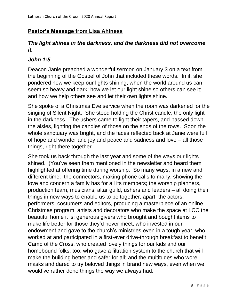## **Pastor's Message from Lisa Ahlness**

## *The light shines in the darkness, and the darkness did not overcome it.*

#### *John 1:5*

Deacon Janie preached a wonderful sermon on January 3 on a text from the beginning of the Gospel of John that included these words. In it, she pondered how we keep our lights shining, when the world around us can seem so heavy and dark; how we let our light shine so others can see it; and how we help others see and let their own lights shine.

She spoke of a Christmas Eve service when the room was darkened for the singing of Silent Night. She stood holding the Christ candle, the only light in the darkness. The ushers came to light their tapers, and passed down the aisles, lighting the candles of those on the ends of the rows. Soon the whole sanctuary was bright, and the faces reflected back at Janie were full of hope and wonder and joy and peace and sadness and love – all those things, right there together.

She took us back through the last year and some of the ways our lights shined. (You've seen them mentioned in the newsletter and heard them highlighted at offering time during worship. So many ways, in a new and different time: the connectors, making phone calls to many, showing the love and concern a family has for all its members; the worship planners, production team, musicians, altar guild, ushers and leaders – all doing their things in new ways to enable us to be together, apart; the actors, performers, costumers and editors, producing a masterpiece of an online Christmas program; artists and decorators who make the space at LCC the beautiful home it is; generous givers who brought and bought items to make life better for those they'd never meet, who invested in our endowment and gave to the church's ministries even in a tough year, who worked at and participated in a first-ever drive-through breakfast to benefit Camp of the Cross, who created lovely things for our kids and our homebound folks, too; who gave a filtration system to the church that will make the building better and safer for all; and the multitudes who wore masks and dared to try beloved things in brand new ways, even when we would've rather done things the way we always had.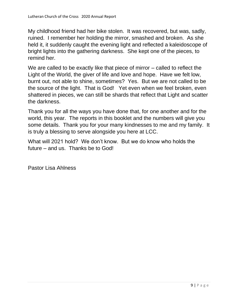My childhood friend had her bike stolen. It was recovered, but was, sadly, ruined. I remember her holding the mirror, smashed and broken. As she held it, it suddenly caught the evening light and reflected a kaleidoscope of bright lights into the gathering darkness. She kept one of the pieces, to remind her.

We are called to be exactly like that piece of mirror – called to reflect the Light of the World, the giver of life and love and hope. Have we felt low, burnt out, not able to shine, sometimes? Yes. But we are not called to be the source of the light. That is God! Yet even when we feel broken, even shattered in pieces, we can still be shards that reflect that Light and scatter the darkness.

Thank you for all the ways you have done that, for one another and for the world, this year. The reports in this booklet and the numbers will give you some details. Thank you for your many kindnesses to me and my family. It is truly a blessing to serve alongside you here at LCC.

What will 2021 hold? We don't know. But we do know who holds the future – and us. Thanks be to God!

Pastor Lisa Ahlness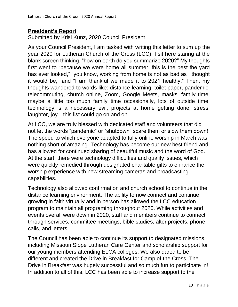## **President's Report**

Submitted by Krisi Kunz, 2020 Council President

As your Council President, I am tasked with writing this letter to sum up the year 2020 for Lutheran Church of the Cross (LCC). I sit here staring at the blank screen thinking, "how on earth do you summarize 2020?" My thoughts first went to "because we were home all summer, this is the best the yard has ever looked," "you know, working from home is not as bad as I thought it would be," and "I am thankful we made it to 2021 healthy." Then, my thoughts wandered to words like: distance learning, toilet paper, pandemic, telecommuting, church online, Zoom, Google Meets, masks, family time, maybe a little too much family time occasionally, lots of outside time, technology is a necessary evil, projects at home getting done, stress, laughter, joy…this list could go on and on

At LCC, we are truly blessed with dedicated staff and volunteers that did not let the words "pandemic" or "shutdown" scare them or slow them down! The speed to which everyone adapted to fully online worship in March was nothing short of amazing. Technology has become our new best friend and has allowed for continued sharing of beautiful music and the word of God. At the start, there were technology difficulties and quality issues, which were quickly remedied through designated charitable gifts to enhance the worship experience with new streaming cameras and broadcasting capabilities.

Technology also allowed confirmation and church school to continue in the distance learning environment. The ability to now connect and continue growing in faith virtually and in person has allowed the LCC education program to maintain all programing throughout 2020. While activities and events overall were down in 2020, staff and members continue to connect through services, committee meetings, bible studies, alter projects, phone calls, and letters.

The Council has been able to continue its support to designated missions, including Missouri Slope Lutheran Care Center and scholarship support for our young members attending ELCA colleges. We also dared to be different and created the Drive in Breakfast for Camp of the Cross. The Drive in Breakfast was hugely successful and so much fun to participate in! In addition to all of this, LCC has been able to increase support to the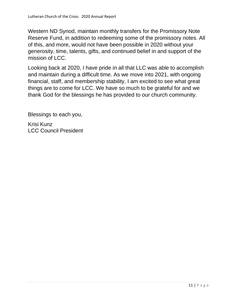Western ND Synod, maintain monthly transfers for the Promissory Note Reserve Fund, in addition to redeeming some of the promissory notes. All of this, and more, would not have been possible in 2020 without your generosity, time, talents, gifts, and continued belief in and support of the mission of LCC.

Looking back at 2020, I have pride in all that LLC was able to accomplish and maintain during a difficult time. As we move into 2021, with ongoing financial, staff, and membership stability, I am excited to see what great things are to come for LCC. We have so much to be grateful for and we thank God for the blessings he has provided to our church community.

Blessings to each you,

Krisi Kunz LCC Council President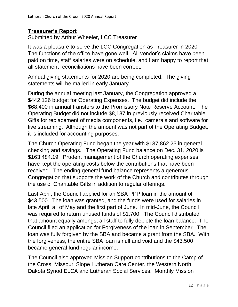#### **Treasurer's Report**

Submitted by Arthur Wheeler, LCC Treasurer

It was a pleasure to serve the LCC Congregation as Treasurer in 2020. The functions of the office have gone well. All vendor's claims have been paid on time, staff salaries were on schedule, and I am happy to report that all statement reconciliations have been correct.

Annual giving statements for 2020 are being completed. The giving statements will be mailed in early January.

During the annual meeting last January, the Congregation approved a \$442,126 budget for Operating Expenses. The budget did include the \$68,400 in annual transfers to the Promissory Note Reserve Account. The Operating Budget did not include \$8,187 in previously received Charitable Gifts for replacement of media components, i.e., camera's and software for live streaming. Although the amount was not part of the Operating Budget, it is included for accounting purposes.

The Church Operating Fund began the year with \$137,862.25 in general checking and savings. The Operating Fund balance on Dec. 31, 2020 is \$163,484.19. Prudent management of the Church operating expenses have kept the operating costs below the contributions that have been received. The ending general fund balance represents a generous Congregation that supports the work of the Church and contributes through the use of Charitable Gifts in addition to regular offerings.

Last April, the Council applied for an SBA PPP loan in the amount of \$43,500. The loan was granted, and the funds were used for salaries in late April, all of May and the first part of June. In mid-June, the Council was required to return unused funds of \$1,700. The Council distributed that amount equally amongst all staff to fully deplete the loan balance. The Council filed an application for Forgiveness of the loan in September. The loan was fully forgiven by the SBA and became a grant from the SBA. With the forgiveness, the entire SBA loan is null and void and the \$43,500 became general fund regular income.

The Council also approved Mission Support contributions to the Camp of the Cross, Missouri Slope Lutheran Care Center, the Western North Dakota Synod ELCA and Lutheran Social Services. Monthly Mission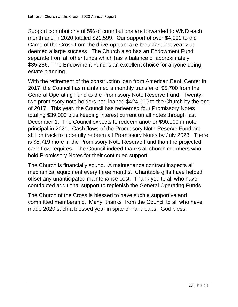Support contributions of 5% of contributions are forwarded to WND each month and in 2020 totaled \$21,599. Our support of over \$4,000 to the Camp of the Cross from the drive-up pancake breakfast last year was deemed a large success The Church also has an Endowment Fund separate from all other funds which has a balance of approximately \$35,256. The Endowment Fund is an excellent choice for anyone doing estate planning.

With the retirement of the construction loan from American Bank Center in 2017, the Council has maintained a monthly transfer of \$5,700 from the General Operating Fund to the Promissory Note Reserve Fund. Twentytwo promissory note holders had loaned \$424,000 to the Church by the end of 2017. This year, the Council has redeemed four Promissory Notes totaling \$39,000 plus keeping interest current on all notes through last December 1. The Council expects to redeem another \$90,000 in note principal in 2021. Cash flows of the Promissory Note Reserve Fund are still on track to hopefully redeem all Promissory Notes by July 2023. There is \$5,719 more in the Promissory Note Reserve Fund than the projected cash flow requires. The Council indeed thanks all church members who hold Promissory Notes for their continued support.

The Church is financially sound. A maintenance contract inspects all mechanical equipment every three months. Charitable gifts have helped offset any unanticipated maintenance cost. Thank you to all who have contributed additional support to replenish the General Operating Funds.

The Church of the Cross is blessed to have such a supportive and committed membership. Many "thanks" from the Council to all who have made 2020 such a blessed year in spite of handicaps. God bless!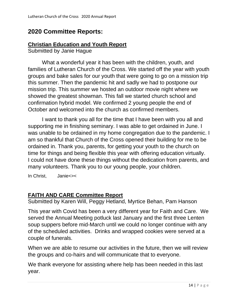## **2020 Committee Reports:**

#### **Christian Education and Youth Report**

Submitted by Janie Hague

What a wonderful year it has been with the children, youth, and families of Lutheran Church of the Cross. We started off the year with youth groups and bake sales for our youth that were going to go on a mission trip this summer. Then the pandemic hit and sadly we had to postpone our mission trip. This summer we hosted an outdoor movie night where we showed the greatest showman. This fall we started church school and confirmation hybrid model. We confirmed 2 young people the end of October and welcomed into the church as confirmed members.

I want to thank you all for the time that I have been with you all and supporting me in finishing seminary. I was able to get ordained in June. I was unable to be ordained in my home congregation due to the pandemic. I am so thankful that Church of the Cross opened their building for me to be ordained in. Thank you, parents, for getting your youth to the church on time for things and being flexible this year with offering education virtually. I could not have done these things without the dedication from parents, and many volunteers. Thank you to our young people, your children.

In Christ, Janie<><

#### **FAITH AND CARE Committee Report**

Submitted by Karen Will, Peggy Hetland, Myrtice Behan, Pam Hanson

This year with Covid has been a very different year for Faith and Care. We served the Annual Meeting potluck last January and the first three Lenten soup suppers before mid-March until we could no longer continue with any of the scheduled activities. Drinks and wrapped cookies were served at a couple of funerals.

When we are able to resume our activities in the future, then we will review the groups and co-hairs and will communicate that to everyone.

We thank everyone for assisting where help has been needed in this last year.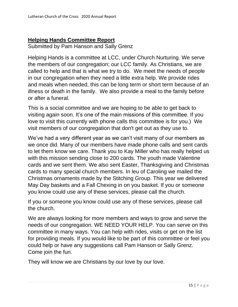## **Helping Hands Committee Report**

Submitted by Pam Hanson and Sally Grenz

Helping Hands is a committee at LCC, under Church Nurturing. We serve the members of our congregation; our LCC family. As Christians, we are called to help and that is what we try to do. We meet the needs of people in our congregation when they need a little extra help. We provide rides and meals when needed, this can be long term or short term because of an illness or death in the family. We also provide a meal to the family before or after a funeral.

This is a social committee and we are hoping to be able to get back to visiting again soon. It's one of the main missions of this committee. If you love to visit this currently with phone calls this committee is for you.) We visit members of our congregation that don't get out as they use to.

We've had a very different year as we can't visit many of our members as we once did. Many of our members have made phone calls and sent cards to let them know we care. Thank you to Kay Miller who has really helped us with this mission sending close to 200 cards. The youth made Valentine cards and we sent them. We also sent Easter, Thanksgiving and Christmas cards to many special church members. In leu of Caroling we mailed the Christmas ornaments made by the Stitching Group. This year we delivered May Day baskets and a Fall Chexing in on you basket. If you or someone you know could use any of these services, please call the church.

If you or someone you know could use any of these services, please call the church.

We are always looking for more members and ways to grow and serve the needs of our congregation. WE NEED YOUR HELP. You can serve on this committee in many ways. You can help with rides, visits or get on the list for providing meals. If you would like to be part of this committee or feel you could help or have any suggestions call Pam Hanson or Sally Grenz. Come join the fun.

They will know we are Christians by our love by our love.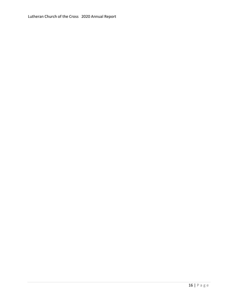Lutheran Church of the Cross 2020 Annual Report